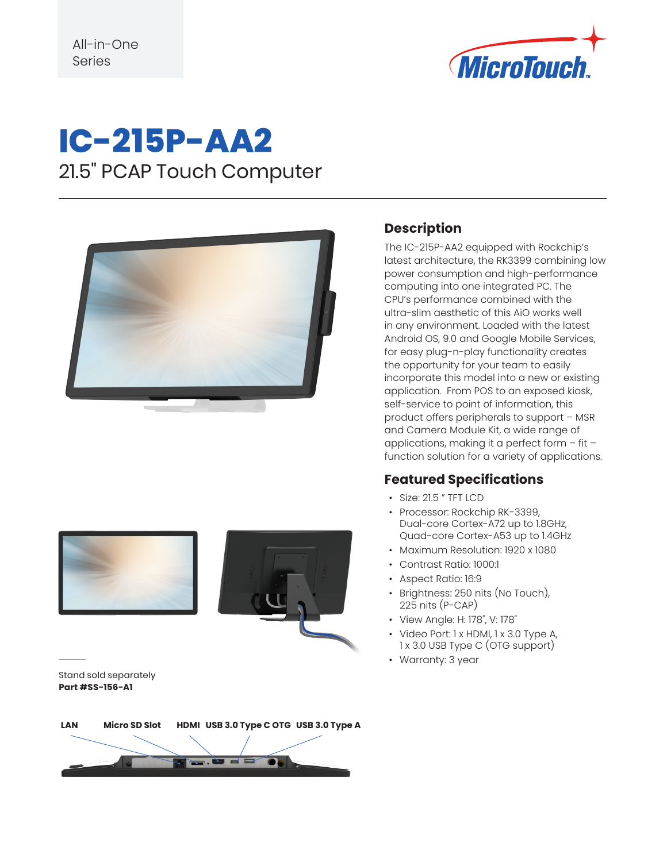

## **IC-215P-AA2** 21.5" PCAP Touch Computer







#### Stand sold separately **Part #SS-156-A1**

# **LAN Micro SD Slot HDMI USB 3.0 Type C OTG USB 3.0 Type A**

#### **Description**

The IC-215P-AA2 equipped with Rockchip's latest architecture, the RK3399 combining low power consumption and high-performance computing into one integrated PC. The CPU's performance combined with the ultra-slim aesthetic of this AiO works well in any environment. Loaded with the latest Android OS, 9.0 and Google Mobile Services, for easy plug-n-play functionality creates the opportunity for your team to easily incorporate this model into a new or existing application. From POS to an exposed kiosk, self-service to point of information, this product offers peripherals to support – MSR and Camera Module Kit, a wide range of applications, making it a perfect form – fit – function solution for a variety of applications.

#### **Featured Specifications**

- Size: 21.5 " TFT LCD
- Processor: Rockchip RK-3399, Dual-core Cortex-A72 up to 1.8GHz, Quad-core Cortex-A53 up to 1.4GHz
- Maximum Resolution: 1920 x 1080
- Contrast Ratio: 1000:1
- Aspect Ratio: 16:9
- Brightness: 250 nits (No Touch), 225 nits (P-CAP)
- View Angle: H: 178˚, V: 178˚
- Video Port: 1 x HDMI, 1 x 3.0 Type A, 1 x 3.0 USB Type C (OTG support)
- Warranty: 3 year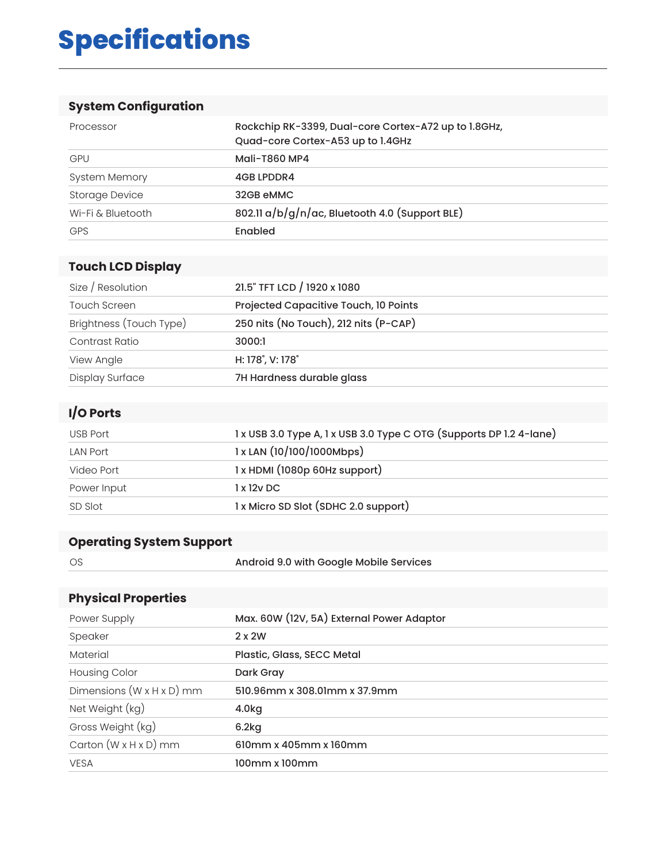## **Specifications**

### **System Configuration**

| Processor             | Rockchip RK-3399, Dual-core Cortex-A72 up to 1.8GHz,<br>Quad-core Cortex-A53 up to 1.4GHz |
|-----------------------|-------------------------------------------------------------------------------------------|
| <b>GPU</b>            | Mali-T860 MP4                                                                             |
| <b>System Memory</b>  | <b>4GB LPDDR4</b>                                                                         |
| <b>Storage Device</b> | 32GB eMMC                                                                                 |
| Wi-Fi & Bluetooth     | 802.11 a/b/g/n/ac, Bluetooth 4.0 (Support BLE)                                            |
| <b>GPS</b>            | Enabled                                                                                   |

### **Touch LCD Display**

| Size / Resolution       | 21.5" TFT LCD / 1920 x 1080           |
|-------------------------|---------------------------------------|
| <b>Touch Screen</b>     | Projected Capacitive Touch, 10 Points |
| Brightness (Touch Type) | 250 nits (No Touch), 212 nits (P-CAP) |
| Contrast Ratio          | 3000:1                                |
| View Angle              | H: 178°, V: 178°                      |
| Display Surface         | 7H Hardness durable glass             |

#### **I/O Ports**

| USB Port        | 1 x USB 3.0 Type A, 1 x USB 3.0 Type C OTG (Supports DP 1.2 4-lane) |
|-----------------|---------------------------------------------------------------------|
| <b>LAN Port</b> | $1x$ LAN $(10/100/1000$ Mbps)                                       |
| Video Port      | 1 x HDMI (1080p 60Hz support)                                       |
| Power Input     | 1x12vDC                                                             |
| SD Slot         | 1 x Micro SD Slot (SDHC 2.0 support)                                |

### **Operating System Support**

OS **Android 9.0 with Google Mobile Services** 

#### **Physical Properties**

| Power Supply                          | Max. 60W (12V, 5A) External Power Adaptor |
|---------------------------------------|-------------------------------------------|
| Speaker                               | $2 \times 2W$                             |
| Material                              | Plastic, Glass, SECC Metal                |
| <b>Housing Color</b>                  | Dark Gray                                 |
| Dimensions $(W \times H \times D)$ mm | 510.96mm x 308.01mm x 37.9mm              |
| Net Weight (kg)                       | 4.0 <sub>kg</sub>                         |
| Gross Weight (kg)                     | 6.2kg                                     |
| Carton $(W \times H \times D)$ mm     | 610mm x 405mm x 160mm                     |
| <b>VESA</b>                           | 100mm x 100mm                             |